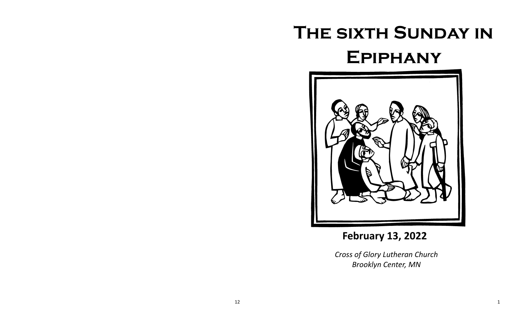# **THE SIXTH SUNDAY IN Epiphany**



**February 13, 2022**

*Cross of Glory Lutheran Church Brooklyn Center, MN*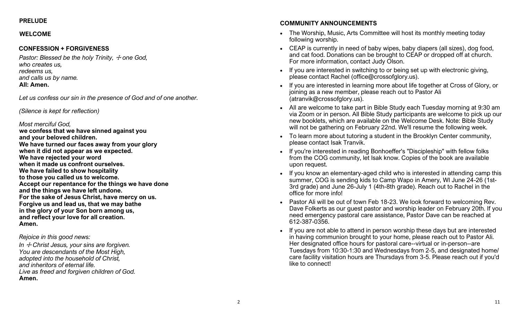# **PRELUDE**

# **WELCOME**

# **CONFESSION + FORGIVENESS**

*Pastor: Blessed be the holy Trinity,*  $\pm$  *one God, who creates us, redeems us, and calls us by name.* **All: Amen.**

*Let us confess our sin in the presence of God and of one another.*

*(Silence is kept for reflection)*

# *Most merciful God,*

**we confess that we have sinned against you and your beloved children. We have turned our faces away from your glory when it did not appear as we expected. We have rejected your word when it made us confront ourselves. We have failed to show hospitality to those you called us to welcome. Accept our repentance for the things we have done and the things we have left undone. For the sake of Jesus Christ, have mercy on us. Forgive us and lead us, that we may bathe in the glory of your Son born among us, and reflect your love for all creation. Amen.**

*Rejoice in this good news:*

In  $#$  Christ Jesus, your sins are forgiven. *You are descendants of the Most High, adopted into the household of Christ, and inheritors of eternal life. Live as freed and forgiven children of God.* **Amen.**

# **COMMUNITY ANNOUNCEMENTS**

- The Worship, Music, Arts Committee will host its monthly meeting today following worship.
- CEAP is currently in need of baby wipes, baby diapers (all sizes), dog food, and cat food. Donations can be brought to CEAP or dropped off at church. For more information, contact Judy Olson.
- If you are interested in switching to or being set up with electronic giving, please contact Rachel (office@crossofglory.us).
- If you are interested in learning more about life together at Cross of Glory, or joining as a new member, please reach out to Pastor Ali (atranvik@crossofglory.us).
- All are welcome to take part in Bible Study each Tuesday morning at 9:30 am via Zoom or in person. All Bible Study participants are welcome to pick up our new booklets, which are available on the Welcome Desk. Note: Bible Study will not be gathering on February 22nd. We'll resume the following week.
- To learn more about tutoring a student in the Brooklyn Center community, please contact Isak Tranvik.
- If you're interested in reading Bonhoeffer's "Discipleship" with fellow folks from the COG community, let Isak know. Copies of the book are available upon request.
- If you know an elementary-aged child who is interested in attending camp this summer, COG is sending kids to Camp Wapo in Amery, WI June 24-26 (1st-3rd grade) and June 26-July 1 (4th-8th grade). Reach out to Rachel in the office for more info!
- Pastor Ali will be out of town Feb 18-23. We look forward to welcoming Rev. Dave Folkerts as our guest pastor and worship leader on February 20th. If you need emergency pastoral care assistance, Pastor Dave can be reached at 612-387-0356.
- If you are not able to attend in person worship these days but are interested in having communion brought to your home, please reach out to Pastor Ali. Her designated office hours for pastoral care--virtual or in-person--are Tuesdays from 10:30-1:30 and Wednesdays from 2-5, and designated home/ care facility visitation hours are Thursdays from 3-5. Please reach out if you'd like to connect!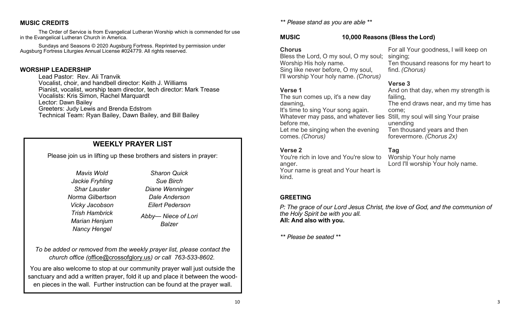#### **MUSIC CREDITS**

The Order of Service is from Evangelical Lutheran Worship which is commended for use in the Evangelical Lutheran Church in America.

Sundays and Seasons © 2020 Augsburg Fortress. Reprinted by permission under Augsburg Fortress Liturgies Annual License #024779. All rights reserved.

# **WORSHIP LEADERSHIP**

Lead Pastor: Rev. Ali Tranvik Vocalist, choir, and handbell director: Keith J. Williams Pianist, vocalist, worship team director, tech director: Mark Trease Vocalists: Kris Simon, Rachel Marquardt Lector: Dawn Bailey Greeters: Judy Lewis and Brenda Edstrom Technical Team: Ryan Bailey, Dawn Bailey, and Bill Bailey

# **WEEKLY PRAYER LIST**

Please join us in lifting up these brothers and sisters in prayer:

*Mavis Wold Jackie Fryhling Shar Lauster Norma Gilbertson Vicky Jacobson Trish Hambrick Marian Henjum Nancy Hengel*

*Sharon Quick Sue Birch Diane Wenninger Dale Anderson Eilert Pederson*

*Abby— Niece of Lori Balzer*

*To be added or removed from the weekly prayer list, please contact the church office (*[office@crossofglory.us](mailto:office@crossofglory.us)*) or call 763-533-8602.*

You are also welcome to stop at our community prayer wall just outside the sanctuary and add a written prayer, fold it up and place it between the wooden pieces in the wall. Further instruction can be found at the prayer wall.

*\*\* Please stand as you are able \*\**

# **MUSIC 10,000 Reasons (Bless the Lord)**

# **Chorus**

Bless the Lord, O my soul, O my soul; Worship His holy name. Sing like never before, O my soul, I'll worship Your holy name. *(Chorus)*

#### **Verse 1**

The sun comes up, it's a new day dawning, It's time to sing Your song again. Whatever may pass, and whatever lies Still, my soul will sing Your praise before me, Let me be singing when the evening comes. *(Chorus)*

#### **Verse 2**

You're rich in love and You're slow to anger. Your name is great and Your heart is kind.

# **GREETING**

10

*P: The grace of our Lord Jesus Christ, the love of God, and the communion of the Holy Spirit be with you all.*  **All: And also with you.**

*\*\* Please be seated \*\**

For all Your goodness, I will keep on singing; Ten thousand reasons for my heart to find. *(Chorus)*

# **Verse 3**

And on that day, when my strength is failing, The end draws near, and my time has come; unending Ten thousand years and then forevermore. *(Chorus 2x)*

**Tag** Worship Your holy name Lord I'll worship Your holy name.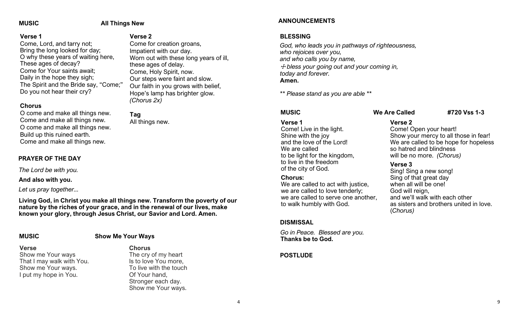#### **MUSIC All Things New**

#### **Verse 1**

Come, Lord, and tarry not; Bring the long looked for day; O why these years of waiting here, These ages of decay? Come for Your saints await; Daily in the hope they sigh; The Spirit and the Bride say, "Come;" Do you not hear their cry?

#### **Chorus**

O come and make all things new. Come and make all things new. O come and make all things new. Build up this ruined earth. Come and make all things new.

# **PRAYER OF THE DAY**

*The Lord be with you.* 

#### **And also with you.**

*Let us pray together...* 

**Living God, in Christ you make all things new. Transform the poverty of our nature by the riches of your grace, and in the renewal of our lives, make known your glory, through Jesus Christ, our Savior and Lord. Amen.**

**Chorus**

# **MUSIC Show Me Your Ways**

**Verse** Show me Your ways That I may walk with You. Show me Your ways. I put my hope in You.

#### **Verse 2**

Come for creation groans, Impatient with our day. Worn out with these long years of ill, these ages of delay. Come, Holy Spirit, now. Our steps were faint and slow. Our faith in you grows with belief, Hope's lamp has brighter glow. *(Chorus 2x)*

**Tag** All things new.

The cry of my heart Is to love You more, To live with the touch Of Your hand, Stronger each day. Show me Your ways.

# **ANNOUNCEMENTS**

# **BLESSING**

*God, who leads you in pathways of righteousness, who rejoices over you, and who calls you by name,* ☩ *bless your going out and your coming in, today and forever.* **Amen.**

*\*\* Please stand as you are able \*\**

# **MUSIC We Are Called #720 Vss 1-3**

# **Verse 1**

Come! Live in the light. Shine with the joy and the love of the Lord! We are called to be light for the kingdom, to live in the freedom of the city of God.

#### **Chorus:**

We are called to act with justice, we are called to love tenderly; we are called to serve one another, to walk humbly with God.

# **DISMISSAL**

*Go in Peace. Blessed are you.* **Thanks be to God.**

# **POSTLUDE**

# **Verse 2**

Come! Open your heart! Show your mercy to all those in fear! We are called to be hope for hopeless so hatred and blindness will be no more. *(Chorus)*

#### **Verse 3**

Sing! Sing a new song! Sing of that great day when all will be one! God will reign, and we'll walk with each other as sisters and brothers united in love. (*Chorus)*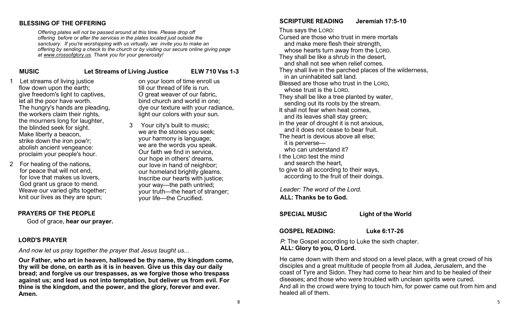#### **BLESSING OF THE OFFERING**

*Offering plates will not be passed around at this time. Please drop off offering before or after the services in the plates located just outside the sanctuary. If you're worshipping with us virtually, we invite you to make an offering by sending a check to the church or by visiting our secure online giving page at [www.crossofglory.us.](http://www.crossofglory.us/) Thank you for your generosity!*

#### **MUSIC Let Streams of Living Justice ELW 710 Vss 1-3**

Let streams of living justice flow down upon the earth; give freedom's light to captives, let all the poor have worth. The hungry's hands are pleading, the workers claim their rights, the mourners long for laughter, the blinded seek for sight. Make liberty a beacon, strike down the iron pow'r; abolish ancient vengeance: proclaim your people's hour.

2 For healing of the nations, for peace that will not end, for love that makes us lovers, God grant us grace to mend. Weave our varied gifts together; knit our lives as they are spun;

on your loom of time enroll us till our thread of life is run. O great weaver of our fabric, bind church and world in one; dye our texture with your radiance, light our colors with your sun.

3 Your city's built to music; we are the stones you seek; your harmony is language; we are the words you speak. Our faith we find in service, our hope in others' dreams, our love in hand of neighbor; our homeland brightly gleams. Inscribe our hearts with justice; your way—the path untried; your truth—the heart of stranger; your life—the Crucified.

# **PRAYERS OF THE PEOPLE**

God of grace, **hear our prayer.**

#### **LORD'S PRAYER**

*And now let us pray together the prayer that Jesus taught us...* 

**Our Father, who art in heaven, hallowed be thy name, thy kingdom come, thy will be done, on earth as it is in heaven. Give us this day our daily bread; and forgive us our trespasses, as we forgive those who trespass against us; and lead us not into temptation, but deliver us from evil. For thine is the kingdom, and the power, and the glory, forever and ever. Amen.**

#### **SCRIPTURE READING [Jeremiah 17:5](https://members.sundaysandseasons.com/Home/TextsAndResources/2022-2-13/0#)-10**

Thus says the LORD: Cursed are those who trust in mere mortals and make mere flesh their strength, whose hearts turn away from the LORD. They shall be like a shrub in the desert, and shall not see when relief comes. They shall live in the parched places of the wilderness, in an uninhabited salt land. Blessed are those who trust in the LORD, whose trust is the LORD. They shall be like a tree planted by water, sending out its roots by the stream. It shall not fear when heat comes. and its leaves shall stay green; in the year of drought it is not anxious, and it does not cease to bear fruit. The heart is devious above all else; it is perverse who can understand it? I the LORD test the mind and search the heart, to give to all according to their ways, according to the fruit of their doings.

*Leader: The word of the Lord.* **ALL: Thanks be to God.**

**SPECIAL MUSIC Light of the World**

**GOSPEL READING: Luke 6:17-26** 

*P:* The Gospel according to Luke the sixth chapter. **ALL: Glory to you, O Lord.**

He came down with them and stood on a level place, with a great crowd of his disciples and a great multitude of people from all Judea, Jerusalem, and the coast of Tyre and Sidon. They had come to hear him and to be healed of their diseases; and those who were troubled with unclean spirits were cured. And all in the crowd were trying to touch him, for power came out from him and healed all of them.